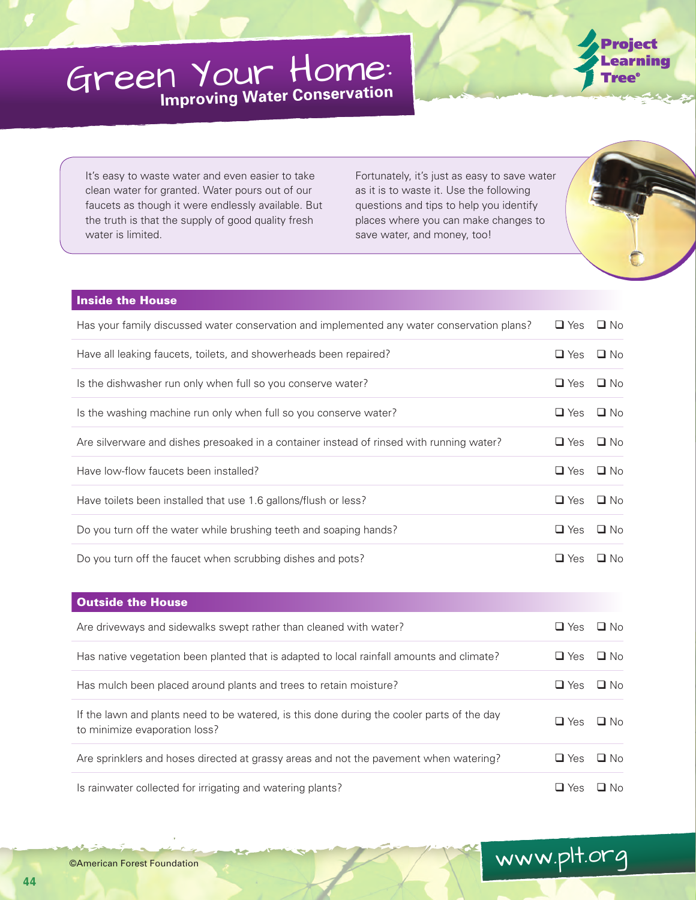## Green Your Home: **Improving Water Conservation**



It's easy to waste water and even easier to take clean water for granted. Water pours out of our faucets as though it were endlessly available. But the truth is that the supply of good quality fresh water is limited.

Fortunately, it's just as easy to save water as it is to waste it. Use the following questions and tips to help you identify places where you can make changes to save water, and money, too!



www.plt.org

## Inside the House

| Has your family discussed water conservation and implemented any water conservation plans? | $\Box$ Yes $\Box$ No |              |
|--------------------------------------------------------------------------------------------|----------------------|--------------|
| Have all leaking faucets, toilets, and showerheads been repaired?                          | $\Box$ Yes           | $\square$ No |
| Is the dishwasher run only when full so you conserve water?                                | $\Box$ Yes           | $\Box$ No    |
| Is the washing machine run only when full so you conserve water?                           | $\Box$ Yes           | $\square$ No |
| Are silverware and dishes presoaked in a container instead of rinsed with running water?   | $\Box$ Yes           | $\square$ No |
| Have low-flow faucets been installed?                                                      | $\Box$ Yes           | $\square$ No |
| Have toilets been installed that use 1.6 gallons/flush or less?                            | $\Box$ Yes           | $\Box$ No    |
| Do you turn off the water while brushing teeth and soaping hands?                          | $\Box$ Yes           | $\Box$ No    |
| Do you turn off the faucet when scrubbing dishes and pots?                                 | $\Box$ Yes           | $\Box$ No    |

| <b>Outside the House</b>                                                                                                    |            |           |
|-----------------------------------------------------------------------------------------------------------------------------|------------|-----------|
| Are drive ways and side walks swept rather than cleaned with water?                                                         | $\Box$ Yes | $\Box$ No |
| Has native vegetation been planted that is adapted to local rainfall amounts and climate?                                   | $\Box$ Yes | $\Box$ No |
| Has mulch been placed around plants and trees to retain moisture?                                                           | $\Box$ Yes | $\Box$ No |
| If the lawn and plants need to be watered, is this done during the cooler parts of the day<br>to minimize evaporation loss? | $\Box$ Yes | $\Box$ No |
| Are sprinklers and hoses directed at grassy areas and not the pavement when watering?                                       | $\Box$ Yes | $\Box$ No |
| Is rainwater collected for irrigating and watering plants?                                                                  | $\Box$ Yes | $\Box$ No |